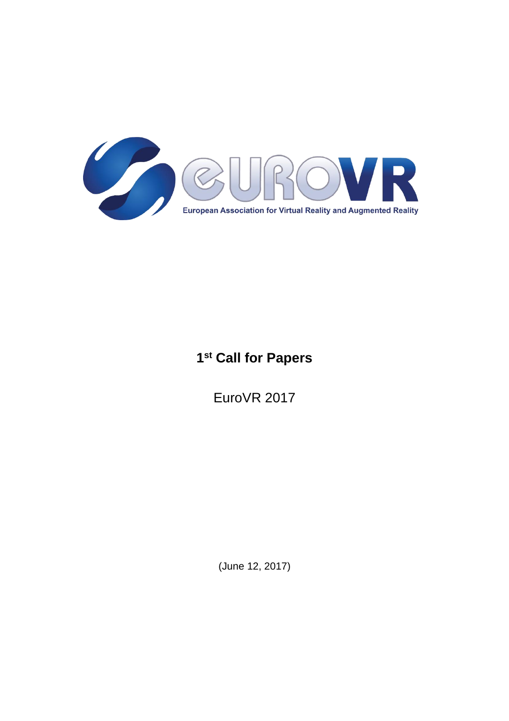

# **1 st Call for Papers**

EuroVR 2017

(June 12, 2017)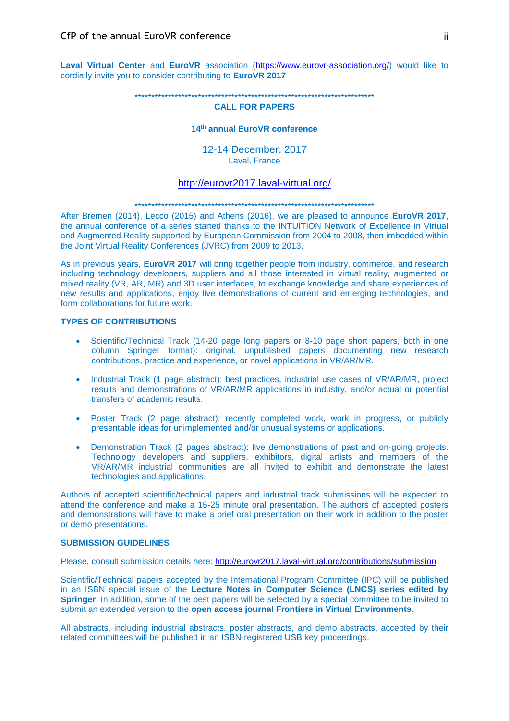**Laval Virtual Center** and **EuroVR** association [\(https://www.eurovr-association.org/\)](https://www.eurovr-association.org/) would like to cordially invite you to consider contributing to **EuroVR 2017**

\*\*\*\*\*\*\*\*\*\*\*\*\*\*\*\*\*\*\*\*\*\*\*\*\*\*\*\*\*\*\*\*\*\*\*\*\*\*\*\*\*\*\*\*\*\*\*\*\*\*\*\*\*\*\*\*\*\*\*\*\*\*\*\*\*\*\*\*\*\*\*\*

# **CALL FOR PAPERS**

# **14th annual EuroVR conference**

12-14 December, 2017 Laval, France

# <http://eurovr2017.laval-virtual.org/>

#### \*\*\*\*\*\*\*\*\*\*\*\*\*\*\*\*\*\*\*\*\*\*\*\*\*\*\*\*\*\*\*\*\*\*\*\*\*\*\*\*\*\*\*\*\*\*\*\*\*\*\*\*\*\*\*\*\*\*\*\*\*\*\*\*\*\*\*\*\*\*\*\*

After Bremen (2014), Lecco (2015) and Athens (2016), we are pleased to announce **EuroVR 2017**, the annual conference of a series started thanks to the INTUITION Network of Excellence in Virtual and Augmented Reality supported by European Commission from 2004 to 2008, then imbedded within the Joint Virtual Reality Conferences (JVRC) from 2009 to 2013.

As in previous years, **EuroVR 2017** will bring together people from industry, commerce, and research including technology developers, suppliers and all those interested in virtual reality, augmented or mixed reality (VR, AR, MR) and 3D user interfaces, to exchange knowledge and share experiences of new results and applications, enjoy live demonstrations of current and emerging technologies, and form collaborations for future work.

#### **TYPES OF CONTRIBUTIONS**

- Scientific/Technical Track (14-20 page long papers or 8-10 page short papers, both in one column Springer format): original, unpublished papers documenting new research contributions, practice and experience, or novel applications in VR/AR/MR.
- Industrial Track (1 page abstract): best practices, industrial use cases of VR/AR/MR, project results and demonstrations of VR/AR/MR applications in industry, and/or actual or potential transfers of academic results.
- Poster Track (2 page abstract): recently completed work, work in progress, or publicly presentable ideas for unimplemented and/or unusual systems or applications.
- Demonstration Track (2 pages abstract): live demonstrations of past and on-going projects. Technology developers and suppliers, exhibitors, digital artists and members of the VR/AR/MR industrial communities are all invited to exhibit and demonstrate the latest technologies and applications.

Authors of accepted scientific/technical papers and industrial track submissions will be expected to attend the conference and make a 15-25 minute oral presentation. The authors of accepted posters and demonstrations will have to make a brief oral presentation on their work in addition to the poster or demo presentations.

#### **SUBMISSION GUIDELINES**

Please, consult submission details here: <http://eurovr2017.laval-virtual.org/contributions/submission>

Scientific/Technical papers accepted by the International Program Committee (IPC) will be published in an ISBN special issue of the **Lecture Notes in Computer Science (LNCS) series edited by Springer**. In addition, some of the best papers will be selected by a special committee to be invited to submit an extended version to the **open access journal Frontiers in Virtual Environments**.

All abstracts, including industrial abstracts, poster abstracts, and demo abstracts, accepted by their related committees will be published in an ISBN-registered USB key proceedings.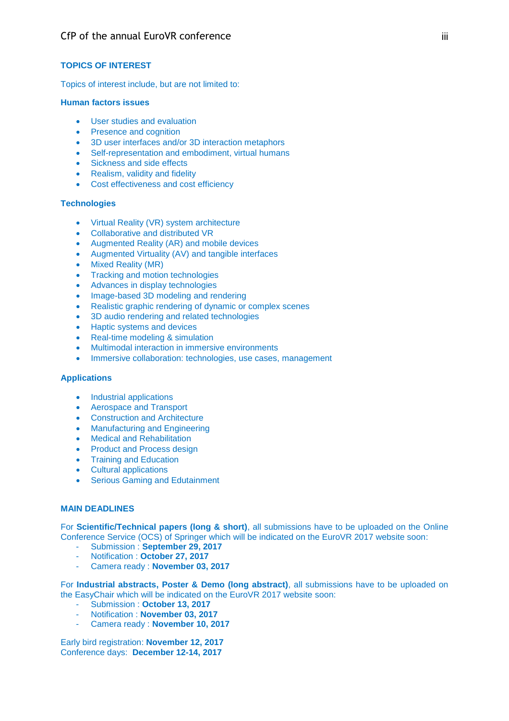# **TOPICS OF INTEREST**

Topics of interest include, but are not limited to:

# **Human factors issues**

- User studies and evaluation
- Presence and cognition
- 3D user interfaces and/or 3D interaction metaphors
- Self-representation and embodiment, virtual humans
- Sickness and side effects
- Realism, validity and fidelity
- Cost effectiveness and cost efficiency

# **Technologies**

- Virtual Reality (VR) system architecture
- Collaborative and distributed VR
- Augmented Reality (AR) and mobile devices
- Augmented Virtuality (AV) and tangible interfaces
- Mixed Reality (MR)
- Tracking and motion technologies
- Advances in display technologies
- Image-based 3D modeling and rendering
- Realistic graphic rendering of dynamic or complex scenes
- 3D audio rendering and related technologies
- Haptic systems and devices
- Real-time modeling & simulation
- Multimodal interaction in immersive environments
- Immersive collaboration: technologies, use cases, management

#### **Applications**

- Industrial applications
- Aerospace and Transport
- Construction and Architecture
- Manufacturing and Engineering
- Medical and Rehabilitation
- Product and Process design
- Training and Education
- Cultural applications
- Serious Gaming and Edutainment

# **MAIN DEADLINES**

For **Scientific/Technical papers (long & short)**, all submissions have to be uploaded on the Online Conference Service (OCS) of Springer which will be indicated on the EuroVR 2017 website soon:

- Submission : **September 29, 2017**
- Notification : **October 27, 2017**
- Camera ready : November 03, 2017

For **Industrial abstracts, Poster & Demo (long abstract)**, all submissions have to be uploaded on the EasyChair which will be indicated on the EuroVR 2017 website soon:

- Submission : **October 13, 2017**
- Notification : **November 03, 2017**
- Camera ready : **November 10, 2017**

Early bird registration: **November 12, 2017** Conference days: **December 12-14, 2017**